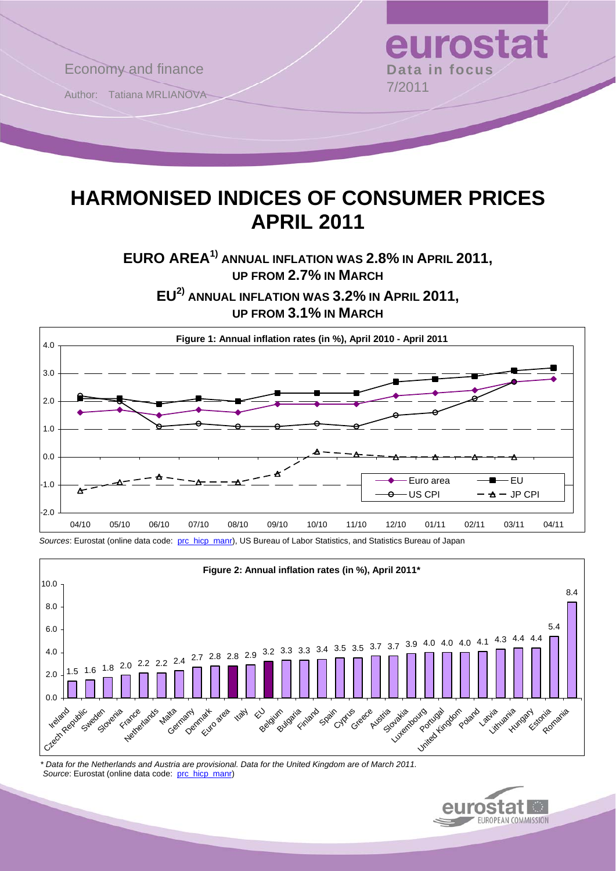

# **HARMONISED INDICES OF CONSUMER PRICES APRIL 2011**

**EURO AREA1) ANNUAL INFLATION WAS 2.8% IN APRIL 2011, UP FROM 2.7% IN MARCH**

**EU2) ANNUAL INFLATION WAS 3.2% IN APRIL 2011, UP FROM 3.1% IN MARCH**



*Sources*: Eurostat (online data code: [prc\\_hicp\\_manr\)](http://ec.europa.eu/eurostat/product?code=prc_hicp_manr&mode=view), US Bureau of Labor Statistics, and Statistics Bureau of Japan



 *\* Data for the Netherlands and Austria are provisional. Data for the United Kingdom are of March 2011.*  Source: Eurostat (online data code: [prc\\_hicp\\_manr](http://ec.europa.eu/eurostat/product?code=prc_hicp_manr&mode=view))

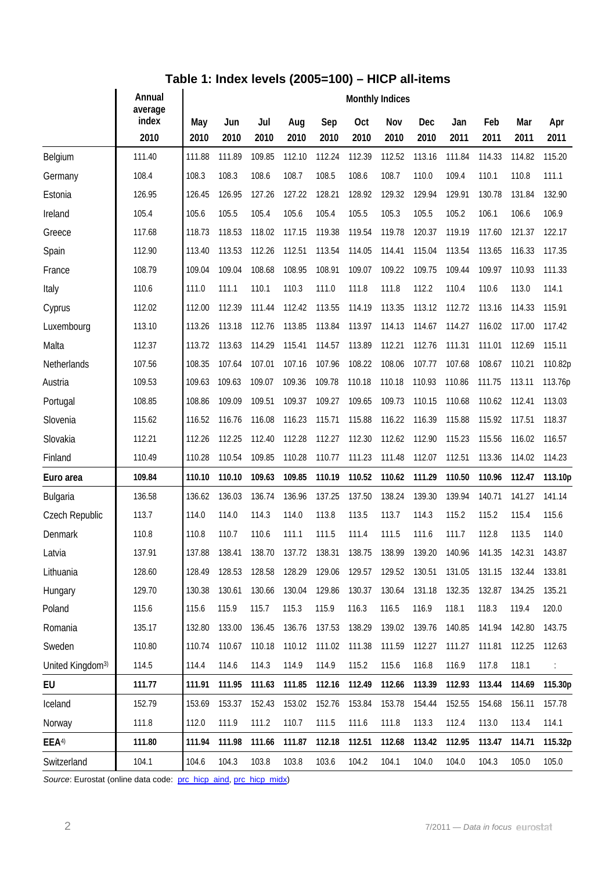## **Table 1: Index levels (2005=100) – HICP all-items**

|                              | Annual<br>average | <b>Monthly Indices</b> |             |             |             |             |             |             |               |             |             |             |             |
|------------------------------|-------------------|------------------------|-------------|-------------|-------------|-------------|-------------|-------------|---------------|-------------|-------------|-------------|-------------|
|                              | index<br>2010     | May<br>2010            | Jun<br>2010 | Jul<br>2010 | Aug<br>2010 | Sep<br>2010 | Oct<br>2010 | Nov<br>2010 | Dec<br>2010   | Jan<br>2011 | Feb<br>2011 | Mar<br>2011 | Apr<br>2011 |
| Belgium                      | 111.40            | 111.88                 | 111.89      | 109.85      | 112.10      | 112.24      | 112.39      | 112.52      | 113.16        | 111.84      | 114.33      | 114.82      | 115.20      |
| Germany                      | 108.4             | 108.3                  | 108.3       | 108.6       | 108.7       | 108.5       | 108.6       | 108.7       | 110.0         | 109.4       | 110.1       | 110.8       | 111.1       |
| Estonia                      | 126.95            | 126.45                 | 126.95      | 127.26      | 127.22      | 128.21      | 128.92      | 129.32      | 129.94        | 129.91      | 130.78      | 131.84      | 132.90      |
| Ireland                      | 105.4             | 105.6                  | 105.5       | 105.4       | 105.6       | 105.4       | 105.5       | 105.3       | 105.5         | 105.2       | 106.1       | 106.6       | 106.9       |
| Greece                       | 117.68            | 118.73                 | 118.53      | 118.02      | 117.15      | 119.38      | 119.54      | 119.78      | 120.37        | 119.19      | 117.60      | 121.37      | 122.17      |
| Spain                        | 112.90            | 113.40                 | 113.53      | 112.26      | 112.51      | 113.54      | 114.05      | 114.41      | 115.04        | 113.54      | 113.65      | 116.33      | 117.35      |
| France                       | 108.79            | 109.04                 | 109.04      | 108.68      | 108.95      | 108.91      | 109.07      | 109.22      | 109.75        | 109.44      | 109.97      | 110.93      | 111.33      |
| Italy                        | 110.6             | 111.0                  | 111.1       | 110.1       | 110.3       | 111.0       | 111.8       | 111.8       | 112.2         | 110.4       | 110.6       | 113.0       | 114.1       |
| Cyprus                       | 112.02            | 112.00                 | 112.39      | 111.44      | 112.42      | 113.55      | 114.19      | 113.35      | 113.12        | 112.72      | 113.16      | 114.33      | 115.91      |
| Luxembourg                   | 113.10            | 113.26                 | 113.18      | 112.76      | 113.85      | 113.84      | 113.97      | 114.13      | 114.67        | 114.27      | 116.02      | 117.00      | 117.42      |
| Malta                        | 112.37            | 113.72                 | 113.63      | 114.29      | 115.41      | 114.57      | 113.89      | 112.21      | 112.76        | 111.31      | 111.01      | 112.69      | 115.11      |
| Netherlands                  | 107.56            | 108.35                 | 107.64      | 107.01      | 107.16      | 107.96      | 108.22      | 108.06      | 107.77        | 107.68      | 108.67      | 110.21      | 110.82p     |
| Austria                      | 109.53            | 109.63                 | 109.63      | 109.07      | 109.36      | 109.78      | 110.18      | 110.18      | 110.93        | 110.86      | 111.75      | 113.11      | 113.76p     |
| Portugal                     | 108.85            | 108.86                 | 109.09      | 109.51      | 109.37      | 109.27      | 109.65      | 109.73      | 110.15        | 110.68      | 110.62      | 112.41      | 113.03      |
| Slovenia                     | 115.62            | 116.52                 | 116.76      | 116.08      | 116.23      | 115.71      | 115.88      | 116.22      | 116.39        | 115.88      | 115.92      | 117.51      | 118.37      |
| Slovakia                     | 112.21            | 112.26                 | 112.25      | 112.40      | 112.28      | 112.27      | 112.30      | 112.62      | 112.90        | 115.23      | 115.56      | 116.02      | 116.57      |
| Finland                      | 110.49            | 110.28                 | 110.54      | 109.85      | 110.28      | 110.77      | 111.23      | 111.48      | 112.07        | 112.51      | 113.36      | 114.02      | 114.23      |
| Euro area                    | 109.84            | 110.10                 | 110.10      | 109.63      | 109.85      | 110.19      | 110.52      | 110.62      | 111.29        | 110.50      | 110.96      | 112.47      | 113.10p     |
| Bulgaria                     | 136.58            | 136.62                 | 136.03      | 136.74      | 136.96      | 137.25      | 137.50      | 138.24      | 139.30        | 139.94      | 140.71      | 141.27      | 141.14      |
| Czech Republic               | 113.7             | 114.0                  | 114.0       | 114.3       | 114.0       | 113.8       | 113.5       | 113.7       | 114.3         | 115.2       | 115.2       | 115.4       | 115.6       |
| Denmark                      | 110.8             | 110.8                  | 110.7       | 110.6       | 111.1       | 111.5       | 111.4       | 111.5       | 111.6         | 111.7       | 112.8       | 113.5       | 114.0       |
| Latvia                       | 137.91            | 137.88                 | 138.41      | 138.70      | 137.72      | 138.31      | 138.75      | 138.99      | 139.20        | 140.96      | 141.35      | 142.31      | 143.87      |
| Lithuania                    | 128.60            | 128.49                 | 128.53      | 128.58      | 128.29      | 129.06      | 129.57      |             | 129.52 130.51 | 131.05      | 131.15      | 132.44      | 133.81      |
| Hungary                      | 129.70            | 130.38                 | 130.61      | 130.66      | 130.04      | 129.86      | 130.37      | 130.64      | 131.18        | 132.35      | 132.87      | 134.25      | 135.21      |
| Poland                       | 115.6             | 115.6                  | 115.9       | 115.7       | 115.3       | 115.9       | 116.3       | 116.5       | 116.9         | 118.1       | 118.3       | 119.4       | 120.0       |
| Romania                      | 135.17            | 132.80                 | 133.00      | 136.45      | 136.76      | 137.53      | 138.29      | 139.02      | 139.76        | 140.85      | 141.94      | 142.80      | 143.75      |
| Sweden                       | 110.80            | 110.74                 | 110.67      | 110.18      | 110.12      | 111.02      | 111.38      | 111.59      | 112.27        | 111.27      | 111.81      | 112.25      | 112.63      |
| United Kingdom <sup>3)</sup> | 114.5             | 114.4                  | 114.6       | 114.3       | 114.9       | 114.9       | 115.2       | 115.6       | 116.8         | 116.9       | 117.8       | 118.1       | ÷           |
| EU                           | 111.77            | 111.91                 | 111.95      | 111.63      | 111.85      | 112.16      | 112.49      | 112.66      | 113.39        | 112.93      | 113.44      | 114.69      | 115.30p     |
| Iceland                      | 152.79            | 153.69                 | 153.37      | 152.43      | 153.02      | 152.76      | 153.84      | 153.78      | 154.44        | 152.55      | 154.68      | 156.11      | 157.78      |
| Norway                       | 111.8             | 112.0                  | 111.9       | 111.2       | 110.7       | 111.5       | 111.6       | 111.8       | 113.3         | 112.4       | 113.0       | 113.4       | 114.1       |
| EEA <sup>4)</sup>            | 111.80            | 111.94                 | 111.98      | 111.66      | 111.87      | 112.18      | 112.51      | 112.68      | 113.42        | 112.95      | 113.47      | 114.71      | 115.32p     |
| Switzerland                  | 104.1             | 104.6                  | 104.3       | 103.8       | 103.8       | 103.6       | 104.2       | 104.1       | 104.0         | 104.0       | 104.3       | 105.0       | 105.0       |

Source: Eurostat (online data code: [prc\\_hicp\\_aind,](http://ec.europa.eu/eurostat/product?code=prc_hicp_aind&mode=view) [prc\\_hicp\\_midx\)](http://ec.europa.eu/eurostat/product?code=prc_hicp_midx&mode=view)

 $\overline{a}$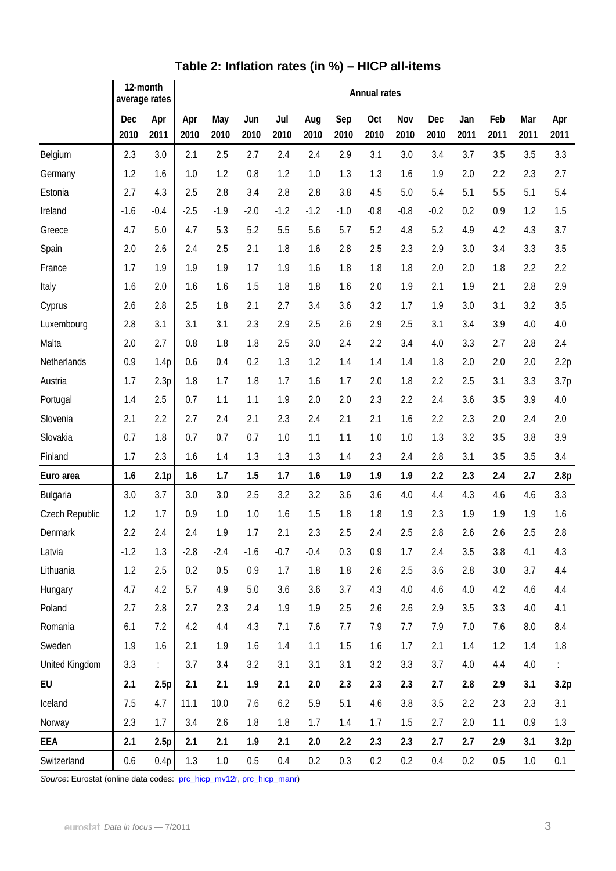|                | 12-month<br>average rates |                  | Annual rates |             |             |             |             |             |             |             |             |             |             |             |             |
|----------------|---------------------------|------------------|--------------|-------------|-------------|-------------|-------------|-------------|-------------|-------------|-------------|-------------|-------------|-------------|-------------|
|                | Dec<br>2010               | Apr<br>2011      | Apr<br>2010  | May<br>2010 | Jun<br>2010 | Jul<br>2010 | Aug<br>2010 | Sep<br>2010 | Oct<br>2010 | Nov<br>2010 | Dec<br>2010 | Jan<br>2011 | Feb<br>2011 | Mar<br>2011 | Apr<br>2011 |
| Belgium        | 2.3                       | 3.0              | 2.1          | 2.5         | 2.7         | 2.4         | 2.4         | 2.9         | 3.1         | 3.0         | 3.4         | 3.7         | 3.5         | 3.5         | 3.3         |
| Germany        | 1.2                       | 1.6              | 1.0          | 1.2         | 0.8         | 1.2         | 1.0         | 1.3         | 1.3         | 1.6         | 1.9         | 2.0         | 2.2         | 2.3         | 2.7         |
| Estonia        | 2.7                       | 4.3              | 2.5          | 2.8         | 3.4         | 2.8         | 2.8         | 3.8         | 4.5         | 5.0         | 5.4         | 5.1         | 5.5         | 5.1         | 5.4         |
| Ireland        | $-1.6$                    | $-0.4$           | $-2.5$       | $-1.9$      | $-2.0$      | $-1.2$      | $-1.2$      | $-1.0$      | $-0.8$      | $-0.8$      | $-0.2$      | 0.2         | 0.9         | 1.2         | 1.5         |
| Greece         | 4.7                       | 5.0              | 4.7          | 5.3         | 5.2         | 5.5         | 5.6         | 5.7         | 5.2         | 4.8         | 5.2         | 4.9         | 4.2         | 4.3         | 3.7         |
| Spain          | 2.0                       | 2.6              | 2.4          | 2.5         | 2.1         | 1.8         | 1.6         | 2.8         | 2.5         | 2.3         | 2.9         | 3.0         | 3.4         | 3.3         | 3.5         |
| France         | 1.7                       | 1.9              | 1.9          | 1.9         | 1.7         | 1.9         | 1.6         | 1.8         | 1.8         | 1.8         | 2.0         | 2.0         | 1.8         | 2.2         | 2.2         |
| Italy          | 1.6                       | 2.0              | 1.6          | 1.6         | 1.5         | 1.8         | 1.8         | 1.6         | 2.0         | 1.9         | 2.1         | 1.9         | 2.1         | 2.8         | 2.9         |
| Cyprus         | 2.6                       | 2.8              | 2.5          | 1.8         | 2.1         | 2.7         | 3.4         | 3.6         | 3.2         | 1.7         | 1.9         | 3.0         | 3.1         | 3.2         | 3.5         |
| Luxembourg     | 2.8                       | 3.1              | 3.1          | 3.1         | 2.3         | 2.9         | 2.5         | 2.6         | 2.9         | 2.5         | 3.1         | 3.4         | 3.9         | 4.0         | 4.0         |
| Malta          | 2.0                       | 2.7              | 0.8          | 1.8         | 1.8         | 2.5         | 3.0         | 2.4         | 2.2         | 3.4         | 4.0         | 3.3         | 2.7         | 2.8         | 2.4         |
| Netherlands    | 0.9                       | 1.4p             | 0.6          | 0.4         | 0.2         | 1.3         | 1.2         | 1.4         | 1.4         | 1.4         | 1.8         | 2.0         | 2.0         | 2.0         | 2.2p        |
| Austria        | 1.7                       | 2.3p             | 1.8          | 1.7         | 1.8         | 1.7         | 1.6         | 1.7         | 2.0         | 1.8         | 2.2         | 2.5         | 3.1         | 3.3         | 3.7p        |
| Portugal       | 1.4                       | 2.5              | 0.7          | 1.1         | 1.1         | 1.9         | 2.0         | 2.0         | 2.3         | 2.2         | 2.4         | 3.6         | 3.5         | 3.9         | 4.0         |
| Slovenia       | 2.1                       | 2.2              | 2.7          | 2.4         | 2.1         | 2.3         | 2.4         | 2.1         | 2.1         | 1.6         | 2.2         | 2.3         | 2.0         | 2.4         | 2.0         |
| Slovakia       | 0.7                       | 1.8              | 0.7          | 0.7         | 0.7         | 1.0         | 1.1         | 1.1         | 1.0         | 1.0         | 1.3         | 3.2         | 3.5         | 3.8         | 3.9         |
| Finland        | 1.7                       | 2.3              | 1.6          | 1.4         | 1.3         | 1.3         | 1.3         | 1.4         | 2.3         | 2.4         | 2.8         | 3.1         | 3.5         | 3.5         | 3.4         |
| Euro area      | 1.6                       | 2.1 <sub>p</sub> | 1.6          | 1.7         | 1.5         | 1.7         | 1.6         | 1.9         | 1.9         | 1.9         | 2.2         | 2.3         | 2.4         | 2.7         | 2.8p        |
| Bulgaria       | 3.0                       | 3.7              | 3.0          | 3.0         | 2.5         | 3.2         | 3.2         | 3.6         | 3.6         | 4.0         | 4.4         | 4.3         | 4.6         | 4.6         | 3.3         |
| Czech Republic | 1.2                       | 1.7              | 0.9          | 1.0         | 1.0         | 1.6         | 1.5         | 1.8         | 1.8         | 1.9         | 2.3         | 1.9         | 1.9         | 1.9         | 1.6         |
| Denmark        | 2.2                       | 2.4              | 2.4          | 1.9         | 1.7         | 2.1         | 2.3         | 2.5         | 2.4         | 2.5         | 2.8         | 2.6         | 2.6         | 2.5         | 2.8         |
| Latvia         | $-1.2$                    | 1.3              | $-2.8$       | $-2.4$      | $-1.6$      | $-0.7$      | $-0.4$      | 0.3         | 0.9         | 1.7         | 2.4         | 3.5         | 3.8         | 4.1         | 4.3         |
| Lithuania      | 1.2                       | 2.5              | 0.2          | 0.5         | 0.9         | 1.7         | 1.8         | 1.8         | 2.6         | 2.5         | 3.6         | 2.8         | 3.0         | 3.7         | 4.4         |
| Hungary        | 4.7                       | 4.2              | 5.7          | 4.9         | 5.0         | 3.6         | 3.6         | 3.7         | 4.3         | 4.0         | 4.6         | 4.0         | 4.2         | 4.6         | 4.4         |
| Poland         | 2.7                       | 2.8              | 2.7          | 2.3         | 2.4         | 1.9         | 1.9         | 2.5         | 2.6         | 2.6         | 2.9         | 3.5         | 3.3         | 4.0         | 4.1         |
| Romania        | 6.1                       | 7.2              | 4.2          | 4.4         | 4.3         | 7.1         | 7.6         | 7.7         | 7.9         | 7.7         | 7.9         | 7.0         | 7.6         | 8.0         | 8.4         |
| Sweden         | 1.9                       | 1.6              | 2.1          | 1.9         | 1.6         | 1.4         | 1.1         | 1.5         | 1.6         | 1.7         | 2.1         | 1.4         | 1.2         | 1.4         | 1.8         |
| United Kingdom | 3.3                       | ÷.               | 3.7          | 3.4         | 3.2         | 3.1         | 3.1         | 3.1         | 3.2         | 3.3         | 3.7         | 4.0         | 4.4         | 4.0         |             |
| EU             | 2.1                       | 2.5p             | 2.1          | 2.1         | 1.9         | 2.1         | 2.0         | 2.3         | 2.3         | 2.3         | 2.7         | 2.8         | 2.9         | 3.1         | 3.2p        |
| Iceland        | 7.5                       | 4.7              | 11.1         | 10.0        | 7.6         | 6.2         | 5.9         | 5.1         | 4.6         | 3.8         | 3.5         | 2.2         | 2.3         | 2.3         | 3.1         |
| Norway         | 2.3                       | 1.7              | 3.4          | 2.6         | 1.8         | 1.8         | 1.7         | 1.4         | 1.7         | 1.5         | 2.7         | 2.0         | 1.1         | 0.9         | 1.3         |
| EEA            | 2.1                       | 2.5p             | 2.1          | 2.1         | 1.9         | 2.1         | 2.0         | 2.2         | 2.3         | 2.3         | 2.7         | 2.7         | 2.9         | 3.1         | 3.2p        |
| Switzerland    | 0.6                       | 0.4p             | 1.3          | 1.0         | 0.5         | 0.4         | 0.2         | 0.3         | 0.2         | 0.2         | 0.4         | 0.2         | 0.5         | 1.0         | 0.1         |

## **Table 2: Inflation rates (in %) – HICP all-items**

Source: Eurostat (online data codes: [prc\\_hicp\\_mv12r,](http://ec.europa.eu/eurostat/product?code=prc_hicp_mv12r&mode=view) [prc\\_hicp\\_manr](http://ec.europa.eu/eurostat/product?code=prc_hicp_manr&mode=view))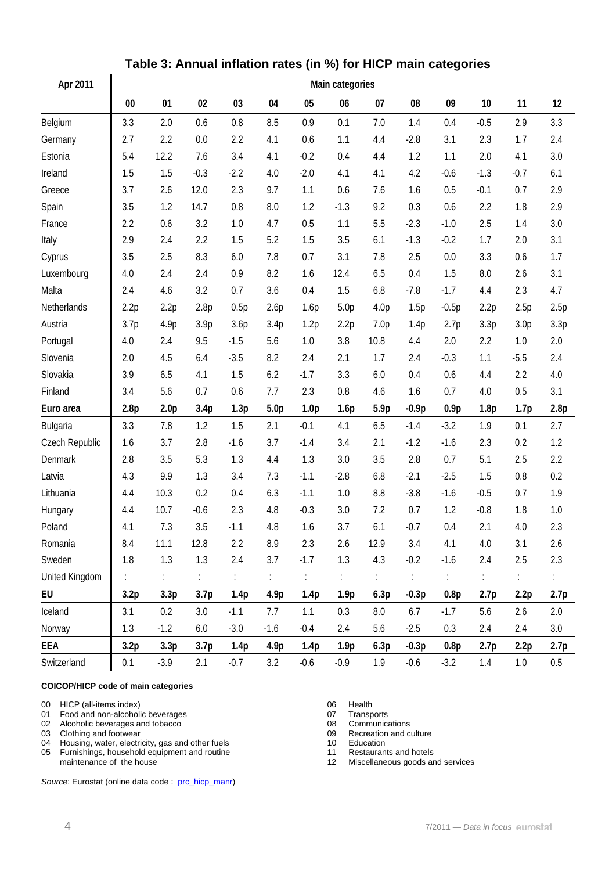| Apr 2011       |        | Main categories  |                  |        |                  |                  |                  |                      |                       |         |                  |                  |      |  |  |
|----------------|--------|------------------|------------------|--------|------------------|------------------|------------------|----------------------|-----------------------|---------|------------------|------------------|------|--|--|
|                | $00\,$ | 01               | 02               | 03     | 04               | 05               | 06               | 07                   | 08                    | 09      | 10               | 11               | 12   |  |  |
| Belgium        | 3.3    | 2.0              | 0.6              | 0.8    | 8.5              | 0.9              | 0.1              | 7.0                  | 1.4                   | 0.4     | $-0.5$           | 2.9              | 3.3  |  |  |
| Germany        | 2.7    | 2.2              | 0.0              | 2.2    | 4.1              | 0.6              | 1.1              | 4.4                  | $-2.8$                | 3.1     | 2.3              | 1.7              | 2.4  |  |  |
| Estonia        | 5.4    | 12.2             | 7.6              | 3.4    | 4.1              | $-0.2$           | 0.4              | 4.4                  | 1.2                   | 1.1     | 2.0              | 4.1              | 3.0  |  |  |
| Ireland        | 1.5    | 1.5              | $-0.3$           | $-2.2$ | 4.0              | $-2.0$           | 4.1              | 4.1                  | 4.2                   | $-0.6$  | $-1.3$           | $-0.7$           | 6.1  |  |  |
| Greece         | 3.7    | 2.6              | 12.0             | 2.3    | 9.7              | 1.1              | 0.6              | 7.6                  | 1.6                   | 0.5     | $-0.1$           | 0.7              | 2.9  |  |  |
| Spain          | 3.5    | 1.2              | 14.7             | 0.8    | 8.0              | 1.2              | $-1.3$           | 9.2                  | 0.3                   | 0.6     | 2.2              | 1.8              | 2.9  |  |  |
| France         | 2.2    | 0.6              | 3.2              | 1.0    | 4.7              | 0.5              | 1.1              | 5.5                  | $-2.3$                | $-1.0$  | 2.5              | 1.4              | 3.0  |  |  |
| Italy          | 2.9    | 2.4              | 2.2              | 1.5    | 5.2              | 1.5              | 3.5              | 6.1                  | $-1.3$                | $-0.2$  | 1.7              | 2.0              | 3.1  |  |  |
| Cyprus         | 3.5    | 2.5              | 8.3              | 6.0    | 7.8              | 0.7              | 3.1              | 7.8                  | 2.5                   | 0.0     | 3.3              | 0.6              | 1.7  |  |  |
| Luxembourg     | 4.0    | 2.4              | 2.4              | 0.9    | 8.2              | 1.6              | 12.4             | 6.5                  | 0.4                   | 1.5     | 8.0              | 2.6              | 3.1  |  |  |
| Malta          | 2.4    | 4.6              | 3.2              | 0.7    | 3.6              | 0.4              | 1.5              | 6.8                  | $-7.8$                | $-1.7$  | 4.4              | 2.3              | 4.7  |  |  |
| Netherlands    | 2.2p   | 2.2p             | 2.8p             | 0.5p   | 2.6p             | 1.6p             | 5.0 <sub>p</sub> | 4.0 <sub>p</sub>     | 1.5p                  | $-0.5p$ | 2.2p             | 2.5p             | 2.5p |  |  |
| Austria        | 3.7p   | 4.9p             | 3.9p             | 3.6p   | 3.4p             | 1.2p             | 2.2p             | 7.0 <sub>p</sub>     | 1.4p                  | 2.7p    | 3.3p             | 3.0 <sub>p</sub> | 3.3p |  |  |
| Portugal       | 4.0    | 2.4              | 9.5              | $-1.5$ | 5.6              | 1.0              | 3.8              | 10.8                 | 4.4                   | 2.0     | 2.2              | 1.0              | 2.0  |  |  |
| Slovenia       | 2.0    | 4.5              | 6.4              | $-3.5$ | 8.2              | 2.4              | 2.1              | 1.7                  | 2.4                   | $-0.3$  | 1.1              | $-5.5$           | 2.4  |  |  |
| Slovakia       | 3.9    | 6.5              | 4.1              | 1.5    | 6.2              | $-1.7$           | 3.3              | 6.0                  | 0.4                   | 0.6     | 4.4              | 2.2              | 4.0  |  |  |
| Finland        | 3.4    | 5.6              | 0.7              | 0.6    | 7.7              | 2.3              | 0.8              | 4.6                  | 1.6                   | 0.7     | 4.0              | 0.5              | 3.1  |  |  |
| Euro area      | 2.8p   | 2.0 <sub>p</sub> | 3.4 <sub>p</sub> | 1.3p   | 5.0 <sub>p</sub> | 1.0 <sub>p</sub> | 1.6p             | 5.9p                 | $-0.9p$               | 0.9p    | 1.8 <sub>p</sub> | 1.7p             | 2.8p |  |  |
| Bulgaria       | 3.3    | 7.8              | 1.2              | 1.5    | 2.1              | $-0.1$           | 4.1              | 6.5                  | $-1.4$                | $-3.2$  | 1.9              | 0.1              | 2.7  |  |  |
| Czech Republic | 1.6    | 3.7              | 2.8              | $-1.6$ | 3.7              | $-1.4$           | 3.4              | 2.1                  | $-1.2$                | $-1.6$  | 2.3              | 0.2              | 1.2  |  |  |
| Denmark        | 2.8    | 3.5              | 5.3              | 1.3    | 4.4              | 1.3              | 3.0              | 3.5                  | 2.8                   | 0.7     | 5.1              | 2.5              | 2.2  |  |  |
| Latvia         | 4.3    | 9.9              | 1.3              | 3.4    | 7.3              | $-1.1$           | $-2.8$           | 6.8                  | $-2.1$                | $-2.5$  | 1.5              | 0.8              | 0.2  |  |  |
| Lithuania      | 4.4    | 10.3             | 0.2              | 0.4    | 6.3              | $-1.1$           | 1.0              | 8.8                  | $-3.8$                | $-1.6$  | $-0.5$           | 0.7              | 1.9  |  |  |
| Hungary        | 4.4    | 10.7             | $-0.6$           | 2.3    | 4.8              | $-0.3$           | 3.0              | 7.2                  | 0.7                   | 1.2     | $-0.8$           | 1.8              | 1.0  |  |  |
| Poland         | 4.1    | 7.3              | 3.5              | $-1.1$ | 4.8              | 1.6              | 3.7              | 6.1                  | $-0.7$                | 0.4     | 2.1              | 4.0              | 2.3  |  |  |
| Romania        | 8.4    | 11.1             | 12.8             | 2.2    | 8.9              | 2.3              | 2.6              | 12.9                 | 3.4                   | 4.1     | $4.0\,$          | 3.1              | 2.6  |  |  |
| Sweden         | 1.8    | 1.3              | 1.3              | 2.4    | 3.7              | $-1.7$           | 1.3              | 4.3                  | $-0.2$                | $-1.6$  | 2.4              | 2.5              | 2.3  |  |  |
| United Kingdom | ÷.     | ÷.               | ÷.               | ÷.     | ÷.               | $\mathbb{C}^2$   | $\mathbb{C}$     | $\ddot{\phantom{a}}$ | $\mathbb{C}^{\times}$ | t.      | ÷.               | $\ddot{\Sigma}$  | ÷.   |  |  |
| EU             | 3.2p   | 3.3 <sub>p</sub> | 3.7 <sub>p</sub> | 1.4p   | 4.9p             | 1.4p             | 1.9 <sub>p</sub> | 6.3p                 | $-0.3p$               | 0.8p    | 2.7 <sub>p</sub> | 2.2p             | 2.7p |  |  |
| Iceland        | 3.1    | 0.2              | 3.0              | $-1.1$ | 7.7              | 1.1              | 0.3              | 8.0                  | 6.7                   | $-1.7$  | 5.6              | 2.6              | 2.0  |  |  |
| Norway         | 1.3    | $-1.2$           | 6.0              | $-3.0$ | $-1.6$           | $-0.4$           | 2.4              | 5.6                  | $-2.5$                | 0.3     | 2.4              | 2.4              | 3.0  |  |  |
| EEA            | 3.2p   | 3.3 <sub>p</sub> | 3.7 <sub>p</sub> | 1.4p   | 4.9p             | 1.4p             | 1.9 <sub>p</sub> | 6.3p                 | $-0.3p$               | 0.8p    | 2.7 <sub>p</sub> | 2.2p             | 2.7p |  |  |
| Switzerland    | 0.1    | $-3.9$           | 2.1              | $-0.7$ | 3.2              | $-0.6$           | $-0.9$           | 1.9                  | $-0.6$                | $-3.2$  | 1.4              | 1.0              | 0.5  |  |  |

## **Table 3: Annual inflation rates (in %) for HICP main categories**

#### **COICOP/HICP code of main categories**

 $\overline{a}$ 

00 HICP (all-items index)<br>
01 Food and non-alcoholic beverages<br>
07 Transports

- 01 Food and non-alcoholic beverages<br>
02 Alcoholic beverages and tobacco<br>
02 Alcoholic beverages and tobacco<br>
08 Communications
- 02 Alcoholic beverages and tobacco<br>
03 Clothing and footwear<br>
09 Recreation and culture
- 
- 03 Clothing and footwear 09 Recreation 04 Housing, water, electricity, gas and other fuels 09 09 Recreation 04 04 Housing, water, electricity, gas and other fuels 10 Education<br>
05 Furnishings, household equipment and routine 11 Restaurants and hotels
- 05 Furnishings, household equipment and routine maintenance of the house

Source: Eurostat (online data code : [prc\\_hicp\\_manr\)](http://ec.europa.eu/eurostat/product?code=prc_hicp_manr&mode=view)

- 
- 
- 
- 

12 Miscellaneous goods and services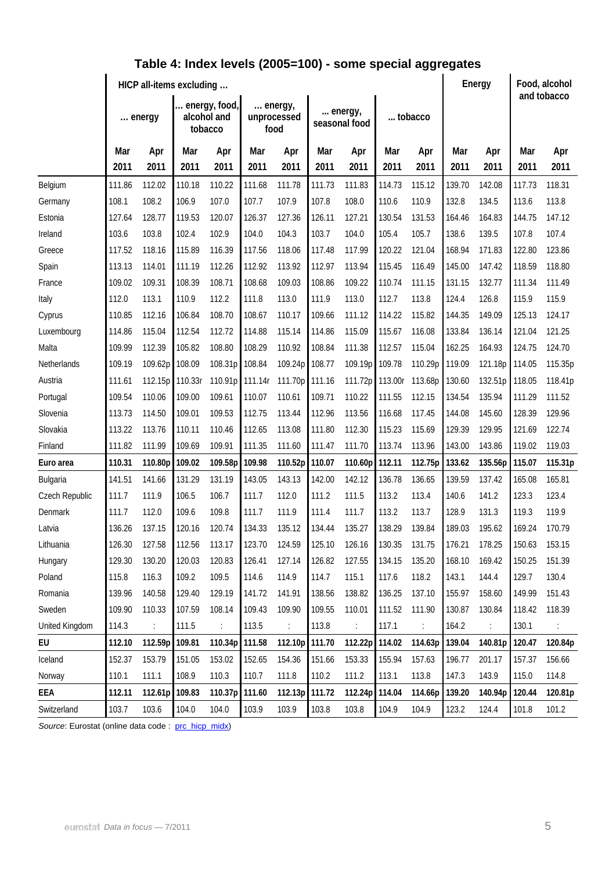|                | HICP all-items excluding |         |                                         |                |                                |                      |                          |         |         |                | Energy |         | Food, alcohol<br>and tobacco |         |
|----------------|--------------------------|---------|-----------------------------------------|----------------|--------------------------------|----------------------|--------------------------|---------|---------|----------------|--------|---------|------------------------------|---------|
|                | energy                   |         | energy, food,<br>alcohol and<br>tobacco |                | energy,<br>unprocessed<br>food |                      | energy,<br>seasonal food |         | tobacco |                |        |         |                              |         |
|                | Mar                      | Apr     | Mar                                     | Apr            | Mar                            | Apr                  | Mar                      | Apr     | Mar     | Apr            | Mar    | Apr     | Mar                          | Apr     |
|                | 2011                     | 2011    | 2011                                    | 2011           | 2011                           | 2011                 | 2011                     | 2011    | 2011    | 2011           | 2011   | 2011    | 2011                         | 2011    |
| Belgium        | 111.86                   | 112.02  | 110.18                                  | 110.22         | 111.68                         | 111.78               | 111.73                   | 111.83  | 114.73  | 115.12         | 139.70 | 142.08  | 117.73                       | 118.31  |
| Germany        | 108.1                    | 108.2   | 106.9                                   | 107.0          | 107.7                          | 107.9                | 107.8                    | 108.0   | 110.6   | 110.9          | 132.8  | 134.5   | 113.6                        | 113.8   |
| Estonia        | 127.64                   | 128.77  | 119.53                                  | 120.07         | 126.37                         | 127.36               | 126.11                   | 127.21  | 130.54  | 131.53         | 164.46 | 164.83  | 144.75                       | 147.12  |
| Ireland        | 103.6                    | 103.8   | 102.4                                   | 102.9          | 104.0                          | 104.3                | 103.7                    | 104.0   | 105.4   | 105.7          | 138.6  | 139.5   | 107.8                        | 107.4   |
| Greece         | 117.52                   | 118.16  | 115.89                                  | 116.39         | 117.56                         | 118.06               | 117.48                   | 117.99  | 120.22  | 121.04         | 168.94 | 171.83  | 122.80                       | 123.86  |
| Spain          | 113.13                   | 114.01  | 111.19                                  | 112.26         | 112.92                         | 113.92               | 112.97                   | 113.94  | 115.45  | 116.49         | 145.00 | 147.42  | 118.59                       | 118.80  |
| France         | 109.02                   | 109.31  | 108.39                                  | 108.71         | 108.68                         | 109.03               | 108.86                   | 109.22  | 110.74  | 111.15         | 131.15 | 132.77  | 111.34                       | 111.49  |
| Italy          | 112.0                    | 113.1   | 110.9                                   | 112.2          | 111.8                          | 113.0                | 111.9                    | 113.0   | 112.7   | 113.8          | 124.4  | 126.8   | 115.9                        | 115.9   |
| Cyprus         | 110.85                   | 112.16  | 106.84                                  | 108.70         | 108.67                         | 110.17               | 109.66                   | 111.12  | 114.22  | 115.82         | 144.35 | 149.09  | 125.13                       | 124.17  |
| Luxembourg     | 114.86                   | 115.04  | 112.54                                  | 112.72         | 114.88                         | 115.14               | 114.86                   | 115.09  | 115.67  | 116.08         | 133.84 | 136.14  | 121.04                       | 121.25  |
| Malta          | 109.99                   | 112.39  | 105.82                                  | 108.80         | 108.29                         | 110.92               | 108.84                   | 111.38  | 112.57  | 115.04         | 162.25 | 164.93  | 124.75                       | 124.70  |
| Netherlands    | 109.19                   | 109.62p | 108.09                                  | 108.31p        | 108.84                         | 109.24p              | 108.77                   | 109.19p | 109.78  | 110.29p        | 119.09 | 121.18p | 114.05                       | 115.35p |
| Austria        | 111.61                   | 112.15p | 110.33r                                 | 110.91p        | 111.14r                        | 111.70p              | 111.16                   | 111.72p | 113.00r | 113.68p        | 130.60 | 132.51p | 118.05                       | 118.41p |
| Portugal       | 109.54                   | 110.06  | 109.00                                  | 109.61         | 110.07                         | 110.61               | 109.71                   | 110.22  | 111.55  | 112.15         | 134.54 | 135.94  | 111.29                       | 111.52  |
| Slovenia       | 113.73                   | 114.50  | 109.01                                  | 109.53         | 112.75                         | 113.44               | 112.96                   | 113.56  | 116.68  | 117.45         | 144.08 | 145.60  | 128.39                       | 129.96  |
| Slovakia       | 113.22                   | 113.76  | 110.11                                  | 110.46         | 112.65                         | 113.08               | 111.80                   | 112.30  | 115.23  | 115.69         | 129.39 | 129.95  | 121.69                       | 122.74  |
| Finland        | 111.82                   | 111.99  | 109.69                                  | 109.91         | 111.35                         | 111.60               | 111.47                   | 111.70  | 113.74  | 113.96         | 143.00 | 143.86  | 119.02                       | 119.03  |
| Euro area      | 110.31                   | 110.80p | 109.02                                  | 109.58p        | 109.98                         | 110.52p              | 110.07                   | 110.60p | 112.11  | 112.75p        | 133.62 | 135.56p | 115.07                       | 115.31p |
| Bulgaria       | 141.51                   | 141.66  | 131.29                                  | 131.19         | 143.05                         | 143.13               | 142.00                   | 142.12  | 136.78  | 136.65         | 139.59 | 137.42  | 165.08                       | 165.81  |
| Czech Republic | 111.7                    | 111.9   | 106.5                                   | 106.7          | 111.7                          | 112.0                | 111.2                    | 111.5   | 113.2   | 113.4          | 140.6  | 141.2   | 123.3                        | 123.4   |
| Denmark        | 111.7                    | 112.0   | 109.6                                   | 109.8          | 111.7                          | 111.9                | 111.4                    | 111.7   | 113.2   | 113.7          | 128.9  | 131.3   | 119.3                        | 119.9   |
| Latvia         | 136.26                   | 137.15  | 120.16                                  | 120.74         | 134.33                         | 135.12               | 134.44                   | 135.27  | 138.29  | 139.84         | 189.03 | 195.62  | 169.24                       | 170.79  |
| Lithuania      | 126.30                   | 127.58  | 112.56                                  | 113.17         | 123.70                         | 124.59               | 125.10                   | 126.16  | 130.35  | 131.75         | 176.21 | 178.25  | 150.63                       | 153.15  |
| Hungary        | 129.30                   | 130.20  | 120.03                                  | 120.83         | 126.41                         | 127.14               | 126.82                   | 127.55  | 134.15  | 135.20         | 168.10 | 169.42  | 150.25                       | 151.39  |
| Poland         | 115.8                    | 116.3   | 109.2                                   | 109.5          | 114.6                          | 114.9                | 114.7                    | 115.1   | 117.6   | 118.2          | 143.1  | 144.4   | 129.7                        | 130.4   |
| Romania        | 139.96                   | 140.58  | 129.40                                  | 129.19         | 141.72                         | 141.91               | 138.56                   | 138.82  | 136.25  | 137.10         | 155.97 | 158.60  | 149.99                       | 151.43  |
| Sweden         | 109.90                   | 110.33  | 107.59                                  | 108.14         | 109.43                         | 109.90               | 109.55                   | 110.01  | 111.52  | 111.90         | 130.87 | 130.84  | 118.42                       | 118.39  |
| United Kingdom | 114.3                    |         | 111.5                                   | $\ddot{\cdot}$ | 113.5                          | $\ddot{\phantom{a}}$ | 113.8                    | ÷       | 117.1   | $\ddot{\cdot}$ | 164.2  | ÷       | 130.1                        |         |
| EU             | 112.10                   | 112.59p | 109.81                                  | 110.34p        | 111.58                         | 112.10p 111.70       |                          | 112.22p | 114.02  | 114.63p        | 139.04 | 140.81p | 120.47                       | 120.84p |
| Iceland        | 152.37                   | 153.79  | 151.05                                  | 153.02         | 152.65                         | 154.36               | 151.66                   | 153.33  | 155.94  | 157.63         | 196.77 | 201.17  | 157.37                       | 156.66  |
| Norway         | 110.1                    | 111.1   | 108.9                                   | 110.3          | 110.7                          | 111.8                | 110.2                    | 111.2   | 113.1   | 113.8          | 147.3  | 143.9   | 115.0                        | 114.8   |
| EEA            | 112.11                   | 112.61p | 109.83                                  | 110.37p        | 111.60                         | 112.13p 111.72       |                          | 112.24p | 114.04  | 114.66p        | 139.20 | 140.94p | 120.44                       | 120.81p |
| Switzerland    | 103.7                    | 103.6   | 104.0                                   | 104.0          | 103.9                          | 103.9                | 103.8                    | 103.8   | 104.9   | 104.9          | 123.2  | 124.4   | 101.8                        | 101.2   |

## **Table 4: Index levels (2005=100) - some special aggregates**

Source: Eurostat (online data code : [prc\\_hicp\\_midx\)](http://ec.europa.eu/eurostat/product?code=prc_hicp_midx&mode=view)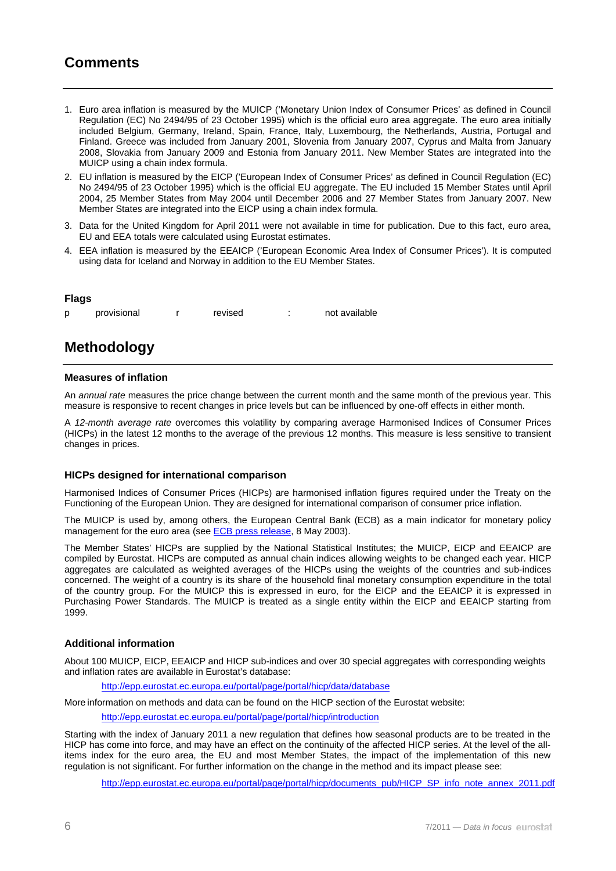### **Comments**

- 1. Euro area inflation is measured by the MUICP ('Monetary Union Index of Consumer Prices' as defined in Council Regulation (EC) No 2494/95 of 23 October 1995) which is the official euro area aggregate. The euro area initially included Belgium, Germany, Ireland, Spain, France, Italy, Luxembourg, the Netherlands, Austria, Portugal and Finland. Greece was included from January 2001, Slovenia from January 2007, Cyprus and Malta from January 2008, Slovakia from January 2009 and Estonia from January 2011. New Member States are integrated into the MUICP using a chain index formula.
- 2. EU inflation is measured by the EICP ('European Index of Consumer Prices' as defined in Council Regulation (EC) No 2494/95 of 23 October 1995) which is the official EU aggregate. The EU included 15 Member States until April 2004, 25 Member States from May 2004 until December 2006 and 27 Member States from January 2007. New Member States are integrated into the EICP using a chain index formula.
- 3. Data for the United Kingdom for April 2011 were not available in time for publication. Due to this fact, euro area, EU and EEA totals were calculated using Eurostat estimates.
- 4. EEA inflation is measured by the EEAICP ('European Economic Area Index of Consumer Prices'). It is computed using data for Iceland and Norway in addition to the EU Member States.

#### **Flags**

p provisional r revised : not available

## **Methodology**

#### **Measures of inflation**

An *annual rate* measures the price change between the current month and the same month of the previous year. This measure is responsive to recent changes in price levels but can be influenced by one-off effects in either month.

A *12-month average rate* overcomes this volatility by comparing average Harmonised Indices of Consumer Prices (HICPs) in the latest 12 months to the average of the previous 12 months. This measure is less sensitive to transient changes in prices.

#### **HICPs designed for international comparison**

Harmonised Indices of Consumer Prices (HICPs) are harmonised inflation figures required under the Treaty on the Functioning of the European Union. They are designed for international comparison of consumer price inflation.

The MUICP is used by, among others, the European Central Bank (ECB) as a main indicator for monetary policy management for the euro area (see [ECB press release](http://www.ecb.int/press/pr/date/2003/html/pr030508_2.en.html), 8 May 2003).

The Member States' HICPs are supplied by the National Statistical Institutes; the MUICP, EICP and EEAICP are compiled by Eurostat. HICPs are computed as annual chain indices allowing weights to be changed each year. HICP aggregates are calculated as weighted averages of the HICPs using the weights of the countries and sub-indices concerned. The weight of a country is its share of the household final monetary consumption expenditure in the total of the country group. For the MUICP this is expressed in euro, for the EICP and the EEAICP it is expressed in Purchasing Power Standards. The MUICP is treated as a single entity within the EICP and EEAICP starting from 1999.

#### **Additional information**

About 100 MUICP, EICP, EEAICP and HICP sub-indices and over 30 special aggregates with corresponding weights and inflation rates are available in Eurostat's database:

<http://epp.eurostat.ec.europa.eu/portal/page/portal/hicp/data/database>

More information on methods and data can be found on the HICP section of the Eurostat website:

<http://epp.eurostat.ec.europa.eu/portal/page/portal/hicp/introduction>

Starting with the index of January 2011 a new regulation that defines how seasonal products are to be treated in the HICP has come into force, and may have an effect on the continuity of the affected HICP series. At the level of the allitems index for the euro area, the EU and most Member States, the impact of the implementation of this new regulation is not significant. For further information on the change in the method and its impact please see:

[http://epp.eurostat.ec.europa.eu/portal/page/portal/hicp/documents\\_pub/HICP\\_SP\\_info\\_note\\_annex\\_2011.pdf](http://epp.eurostat.ec.europa.eu/portal/page/portal/hicp/documents_pub/HICP_SP_info_note_annex_2011.pdf)